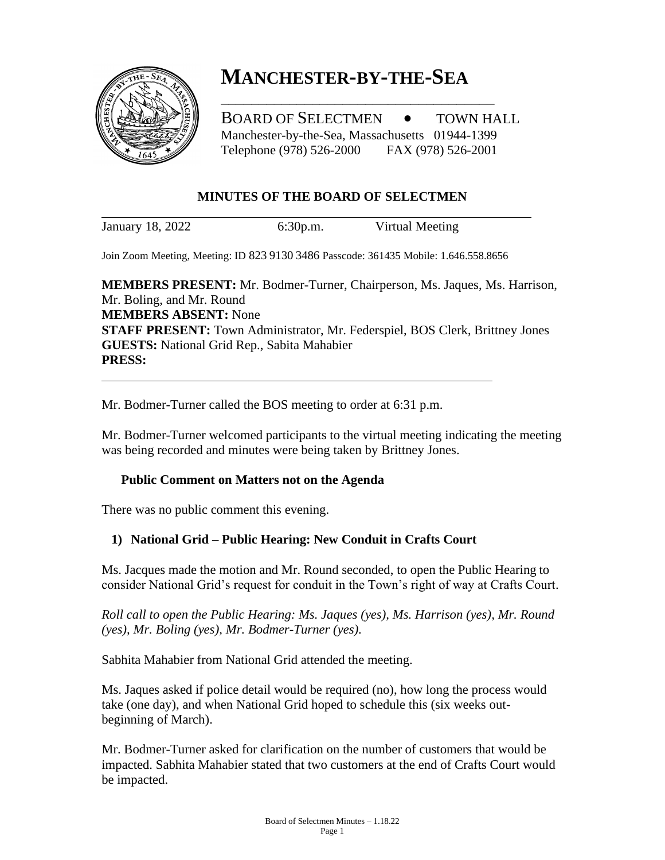

# **MANCHESTER-BY-THE-SEA**

\_\_\_\_\_\_\_\_\_\_\_\_\_\_\_\_\_\_\_\_\_\_\_\_\_\_\_\_\_\_\_\_\_\_\_\_

BOARD OF SELECTMEN  $\bullet$  TOWN HALL Manchester-by-the-Sea, Massachusetts 01944-1399 Telephone (978) 526-2000 FAX (978) 526-2001

# **MINUTES OF THE BOARD OF SELECTMEN**

January 18, 2022 6:30p.m. Virtual Meeting

Join Zoom Meeting, Meeting: ID 823 9130 3486 Passcode: 361435 Mobile: 1.646.558.8656

**MEMBERS PRESENT:** Mr. Bodmer-Turner, Chairperson, Ms. Jaques, Ms. Harrison, Mr. Boling, and Mr. Round **MEMBERS ABSENT:** None **STAFF PRESENT:** Town Administrator, Mr. Federspiel, BOS Clerk, Brittney Jones **GUESTS:** National Grid Rep., Sabita Mahabier **PRESS:**

Mr. Bodmer-Turner called the BOS meeting to order at 6:31 p.m.

Mr. Bodmer-Turner welcomed participants to the virtual meeting indicating the meeting was being recorded and minutes were being taken by Brittney Jones.

# **Public Comment on Matters not on the Agenda**

There was no public comment this evening.

# **1) National Grid – Public Hearing: New Conduit in Crafts Court**

Ms. Jacques made the motion and Mr. Round seconded, to open the Public Hearing to consider National Grid's request for conduit in the Town's right of way at Crafts Court.

*Roll call to open the Public Hearing: Ms. Jaques (yes), Ms. Harrison (yes), Mr. Round (yes), Mr. Boling (yes), Mr. Bodmer-Turner (yes).*

Sabhita Mahabier from National Grid attended the meeting.

Ms. Jaques asked if police detail would be required (no), how long the process would take (one day), and when National Grid hoped to schedule this (six weeks outbeginning of March).

Mr. Bodmer-Turner asked for clarification on the number of customers that would be impacted. Sabhita Mahabier stated that two customers at the end of Crafts Court would be impacted.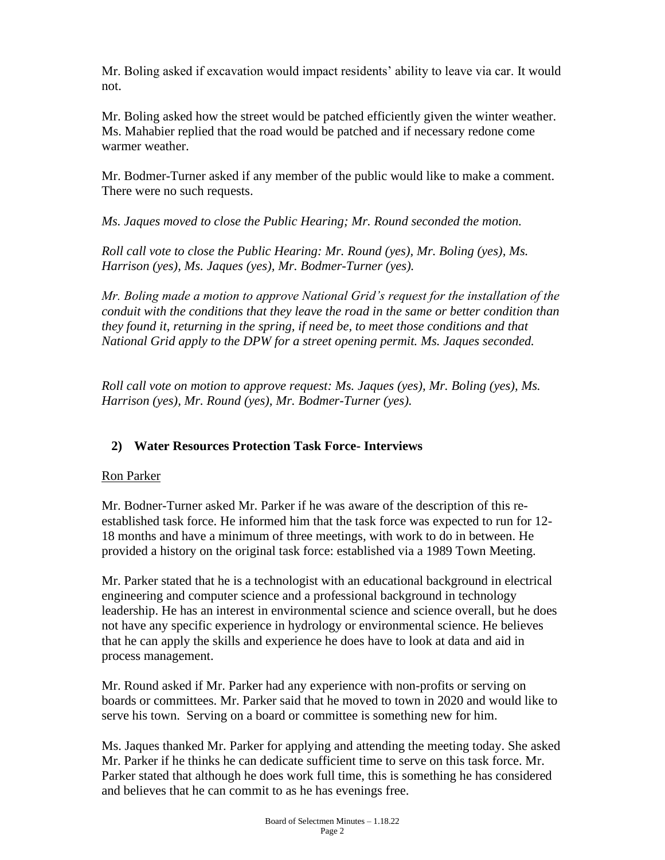Mr. Boling asked if excavation would impact residents' ability to leave via car. It would not.

Mr. Boling asked how the street would be patched efficiently given the winter weather. Ms. Mahabier replied that the road would be patched and if necessary redone come warmer weather.

Mr. Bodmer-Turner asked if any member of the public would like to make a comment. There were no such requests.

*Ms. Jaques moved to close the Public Hearing; Mr. Round seconded the motion.*

*Roll call vote to close the Public Hearing: Mr. Round (yes), Mr. Boling (yes), Ms. Harrison (yes), Ms. Jaques (yes), Mr. Bodmer-Turner (yes).*

*Mr. Boling made a motion to approve National Grid's request for the installation of the conduit with the conditions that they leave the road in the same or better condition than they found it, returning in the spring, if need be, to meet those conditions and that National Grid apply to the DPW for a street opening permit. Ms. Jaques seconded.*

*Roll call vote on motion to approve request: Ms. Jaques (yes), Mr. Boling (yes), Ms. Harrison (yes), Mr. Round (yes), Mr. Bodmer-Turner (yes).*

# **2) Water Resources Protection Task Force- Interviews**

# Ron Parker

Mr. Bodner-Turner asked Mr. Parker if he was aware of the description of this reestablished task force. He informed him that the task force was expected to run for 12- 18 months and have a minimum of three meetings, with work to do in between. He provided a history on the original task force: established via a 1989 Town Meeting.

Mr. Parker stated that he is a technologist with an educational background in electrical engineering and computer science and a professional background in technology leadership. He has an interest in environmental science and science overall, but he does not have any specific experience in hydrology or environmental science. He believes that he can apply the skills and experience he does have to look at data and aid in process management.

Mr. Round asked if Mr. Parker had any experience with non-profits or serving on boards or committees. Mr. Parker said that he moved to town in 2020 and would like to serve his town. Serving on a board or committee is something new for him.

Ms. Jaques thanked Mr. Parker for applying and attending the meeting today. She asked Mr. Parker if he thinks he can dedicate sufficient time to serve on this task force. Mr. Parker stated that although he does work full time, this is something he has considered and believes that he can commit to as he has evenings free.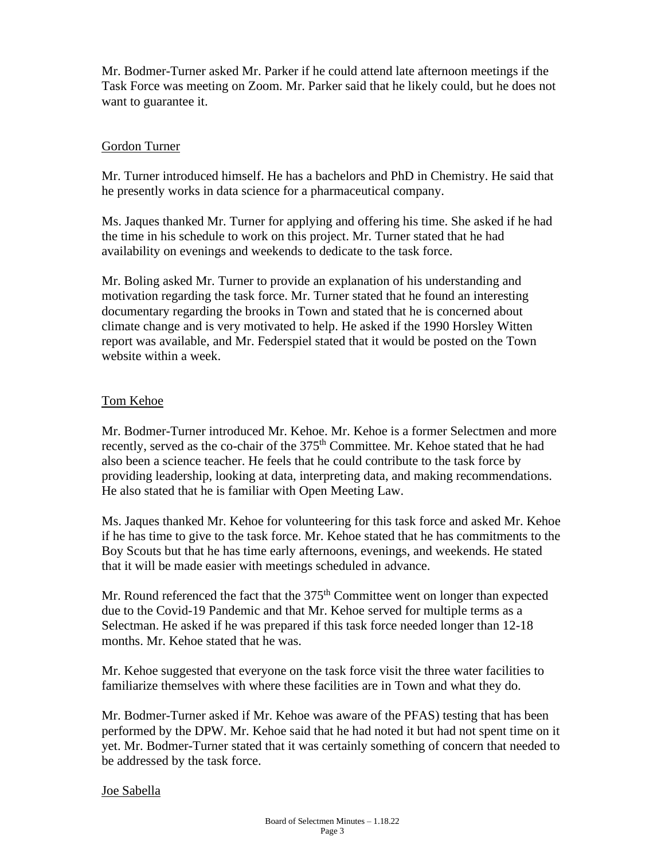Mr. Bodmer-Turner asked Mr. Parker if he could attend late afternoon meetings if the Task Force was meeting on Zoom. Mr. Parker said that he likely could, but he does not want to guarantee it.

#### Gordon Turner

Mr. Turner introduced himself. He has a bachelors and PhD in Chemistry. He said that he presently works in data science for a pharmaceutical company.

Ms. Jaques thanked Mr. Turner for applying and offering his time. She asked if he had the time in his schedule to work on this project. Mr. Turner stated that he had availability on evenings and weekends to dedicate to the task force.

Mr. Boling asked Mr. Turner to provide an explanation of his understanding and motivation regarding the task force. Mr. Turner stated that he found an interesting documentary regarding the brooks in Town and stated that he is concerned about climate change and is very motivated to help. He asked if the 1990 Horsley Witten report was available, and Mr. Federspiel stated that it would be posted on the Town website within a week.

### Tom Kehoe

Mr. Bodmer-Turner introduced Mr. Kehoe. Mr. Kehoe is a former Selectmen and more recently, served as the co-chair of the 375<sup>th</sup> Committee. Mr. Kehoe stated that he had also been a science teacher. He feels that he could contribute to the task force by providing leadership, looking at data, interpreting data, and making recommendations. He also stated that he is familiar with Open Meeting Law.

Ms. Jaques thanked Mr. Kehoe for volunteering for this task force and asked Mr. Kehoe if he has time to give to the task force. Mr. Kehoe stated that he has commitments to the Boy Scouts but that he has time early afternoons, evenings, and weekends. He stated that it will be made easier with meetings scheduled in advance.

Mr. Round referenced the fact that the  $375<sup>th</sup>$  Committee went on longer than expected due to the Covid-19 Pandemic and that Mr. Kehoe served for multiple terms as a Selectman. He asked if he was prepared if this task force needed longer than 12-18 months. Mr. Kehoe stated that he was.

Mr. Kehoe suggested that everyone on the task force visit the three water facilities to familiarize themselves with where these facilities are in Town and what they do.

Mr. Bodmer-Turner asked if Mr. Kehoe was aware of the PFAS) testing that has been performed by the DPW. Mr. Kehoe said that he had noted it but had not spent time on it yet. Mr. Bodmer-Turner stated that it was certainly something of concern that needed to be addressed by the task force.

#### Joe Sabella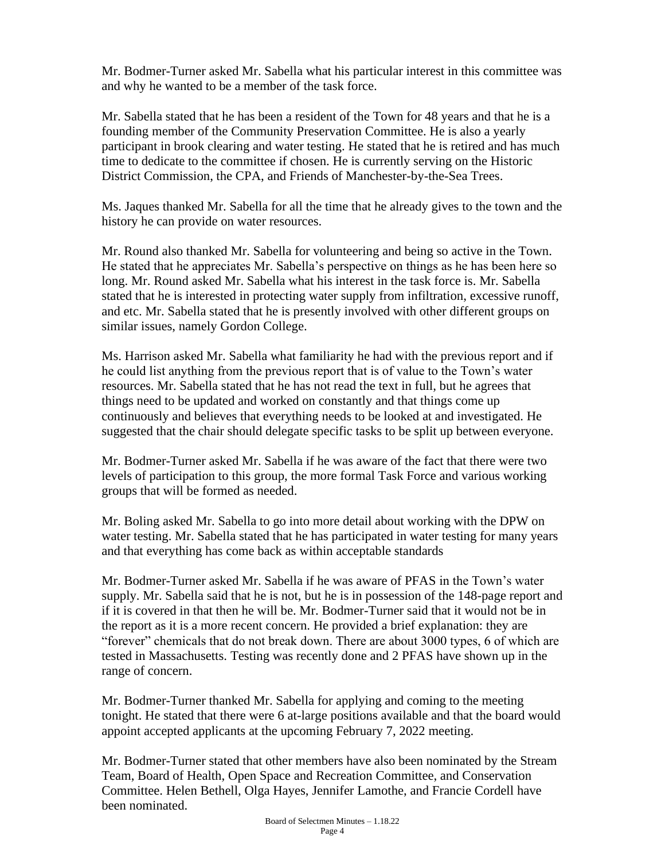Mr. Bodmer-Turner asked Mr. Sabella what his particular interest in this committee was and why he wanted to be a member of the task force.

Mr. Sabella stated that he has been a resident of the Town for 48 years and that he is a founding member of the Community Preservation Committee. He is also a yearly participant in brook clearing and water testing. He stated that he is retired and has much time to dedicate to the committee if chosen. He is currently serving on the Historic District Commission, the CPA, and Friends of Manchester-by-the-Sea Trees.

Ms. Jaques thanked Mr. Sabella for all the time that he already gives to the town and the history he can provide on water resources.

Mr. Round also thanked Mr. Sabella for volunteering and being so active in the Town. He stated that he appreciates Mr. Sabella's perspective on things as he has been here so long. Mr. Round asked Mr. Sabella what his interest in the task force is. Mr. Sabella stated that he is interested in protecting water supply from infiltration, excessive runoff, and etc. Mr. Sabella stated that he is presently involved with other different groups on similar issues, namely Gordon College.

Ms. Harrison asked Mr. Sabella what familiarity he had with the previous report and if he could list anything from the previous report that is of value to the Town's water resources. Mr. Sabella stated that he has not read the text in full, but he agrees that things need to be updated and worked on constantly and that things come up continuously and believes that everything needs to be looked at and investigated. He suggested that the chair should delegate specific tasks to be split up between everyone.

Mr. Bodmer-Turner asked Mr. Sabella if he was aware of the fact that there were two levels of participation to this group, the more formal Task Force and various working groups that will be formed as needed.

Mr. Boling asked Mr. Sabella to go into more detail about working with the DPW on water testing. Mr. Sabella stated that he has participated in water testing for many years and that everything has come back as within acceptable standards

Mr. Bodmer-Turner asked Mr. Sabella if he was aware of PFAS in the Town's water supply. Mr. Sabella said that he is not, but he is in possession of the 148-page report and if it is covered in that then he will be. Mr. Bodmer-Turner said that it would not be in the report as it is a more recent concern. He provided a brief explanation: they are "forever" chemicals that do not break down. There are about 3000 types, 6 of which are tested in Massachusetts. Testing was recently done and 2 PFAS have shown up in the range of concern.

Mr. Bodmer-Turner thanked Mr. Sabella for applying and coming to the meeting tonight. He stated that there were 6 at-large positions available and that the board would appoint accepted applicants at the upcoming February 7, 2022 meeting.

Mr. Bodmer-Turner stated that other members have also been nominated by the Stream Team, Board of Health, Open Space and Recreation Committee, and Conservation Committee. Helen Bethell, Olga Hayes, Jennifer Lamothe, and Francie Cordell have been nominated.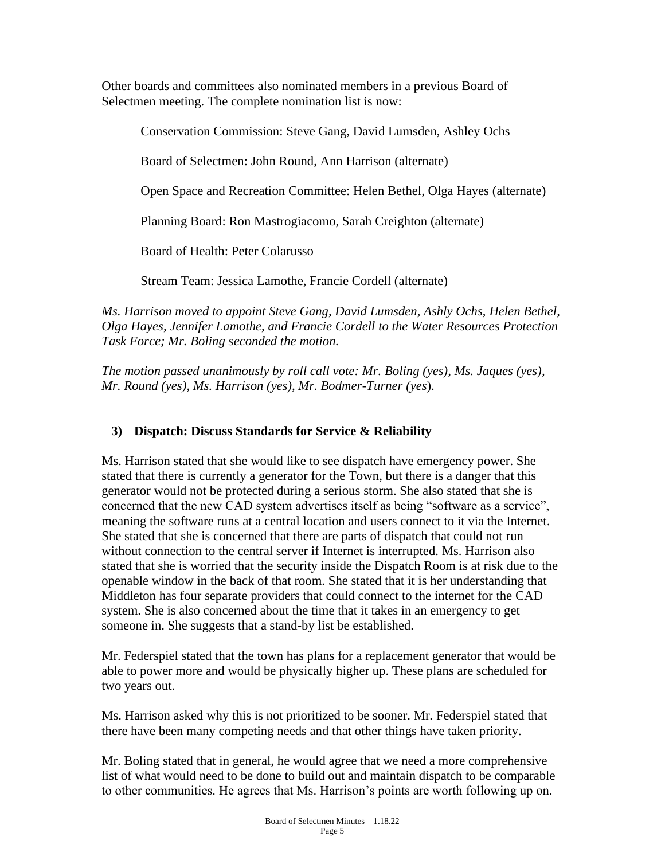Other boards and committees also nominated members in a previous Board of Selectmen meeting. The complete nomination list is now:

Conservation Commission: Steve Gang, David Lumsden, Ashley Ochs Board of Selectmen: John Round, Ann Harrison (alternate) Open Space and Recreation Committee: Helen Bethel, Olga Hayes (alternate) Planning Board: Ron Mastrogiacomo, Sarah Creighton (alternate) Board of Health: Peter Colarusso Stream Team: Jessica Lamothe, Francie Cordell (alternate)

*Ms. Harrison moved to appoint Steve Gang, David Lumsden, Ashly Ochs, Helen Bethel, Olga Hayes, Jennifer Lamothe, and Francie Cordell to the Water Resources Protection Task Force; Mr. Boling seconded the motion.* 

*The motion passed unanimously by roll call vote: Mr. Boling (yes), Ms. Jaques (yes), Mr. Round (yes), Ms. Harrison (yes), Mr. Bodmer-Turner (yes*).

# **3) Dispatch: Discuss Standards for Service & Reliability**

Ms. Harrison stated that she would like to see dispatch have emergency power. She stated that there is currently a generator for the Town, but there is a danger that this generator would not be protected during a serious storm. She also stated that she is concerned that the new CAD system advertises itself as being "software as a service", meaning the software runs at a central location and users connect to it via the Internet. She stated that she is concerned that there are parts of dispatch that could not run without connection to the central server if Internet is interrupted. Ms. Harrison also stated that she is worried that the security inside the Dispatch Room is at risk due to the openable window in the back of that room. She stated that it is her understanding that Middleton has four separate providers that could connect to the internet for the CAD system. She is also concerned about the time that it takes in an emergency to get someone in. She suggests that a stand-by list be established.

Mr. Federspiel stated that the town has plans for a replacement generator that would be able to power more and would be physically higher up. These plans are scheduled for two years out.

Ms. Harrison asked why this is not prioritized to be sooner. Mr. Federspiel stated that there have been many competing needs and that other things have taken priority.

Mr. Boling stated that in general, he would agree that we need a more comprehensive list of what would need to be done to build out and maintain dispatch to be comparable to other communities. He agrees that Ms. Harrison's points are worth following up on.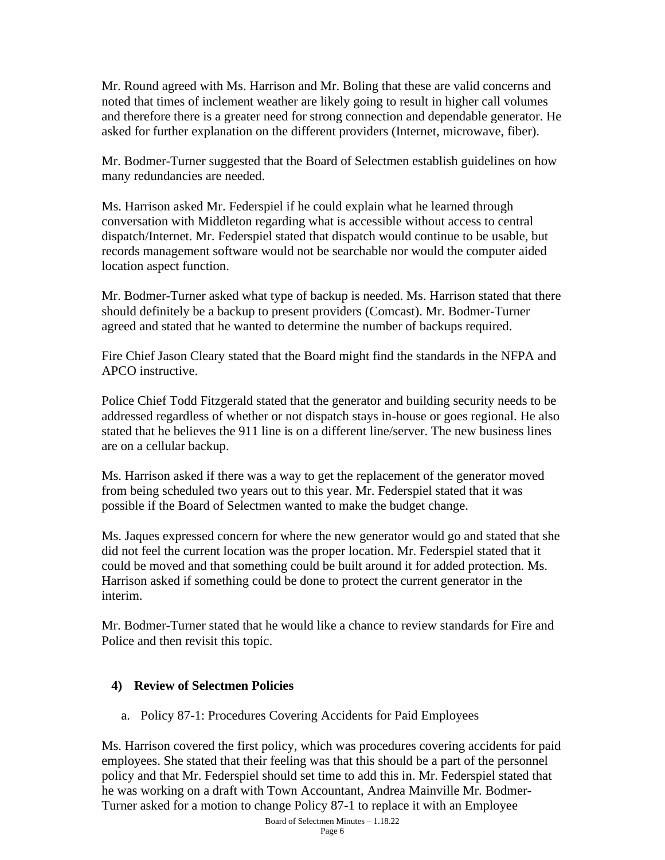Mr. Round agreed with Ms. Harrison and Mr. Boling that these are valid concerns and noted that times of inclement weather are likely going to result in higher call volumes and therefore there is a greater need for strong connection and dependable generator. He asked for further explanation on the different providers (Internet, microwave, fiber).

Mr. Bodmer-Turner suggested that the Board of Selectmen establish guidelines on how many redundancies are needed.

Ms. Harrison asked Mr. Federspiel if he could explain what he learned through conversation with Middleton regarding what is accessible without access to central dispatch/Internet. Mr. Federspiel stated that dispatch would continue to be usable, but records management software would not be searchable nor would the computer aided location aspect function.

Mr. Bodmer-Turner asked what type of backup is needed. Ms. Harrison stated that there should definitely be a backup to present providers (Comcast). Mr. Bodmer-Turner agreed and stated that he wanted to determine the number of backups required.

Fire Chief Jason Cleary stated that the Board might find the standards in the NFPA and APCO instructive.

Police Chief Todd Fitzgerald stated that the generator and building security needs to be addressed regardless of whether or not dispatch stays in-house or goes regional. He also stated that he believes the 911 line is on a different line/server. The new business lines are on a cellular backup.

Ms. Harrison asked if there was a way to get the replacement of the generator moved from being scheduled two years out to this year. Mr. Federspiel stated that it was possible if the Board of Selectmen wanted to make the budget change.

Ms. Jaques expressed concern for where the new generator would go and stated that she did not feel the current location was the proper location. Mr. Federspiel stated that it could be moved and that something could be built around it for added protection. Ms. Harrison asked if something could be done to protect the current generator in the interim.

Mr. Bodmer-Turner stated that he would like a chance to review standards for Fire and Police and then revisit this topic.

# **4) Review of Selectmen Policies**

a. Policy 87-1: Procedures Covering Accidents for Paid Employees

Ms. Harrison covered the first policy, which was procedures covering accidents for paid employees. She stated that their feeling was that this should be a part of the personnel policy and that Mr. Federspiel should set time to add this in. Mr. Federspiel stated that he was working on a draft with Town Accountant, Andrea Mainville Mr. Bodmer-Turner asked for a motion to change Policy 87-1 to replace it with an Employee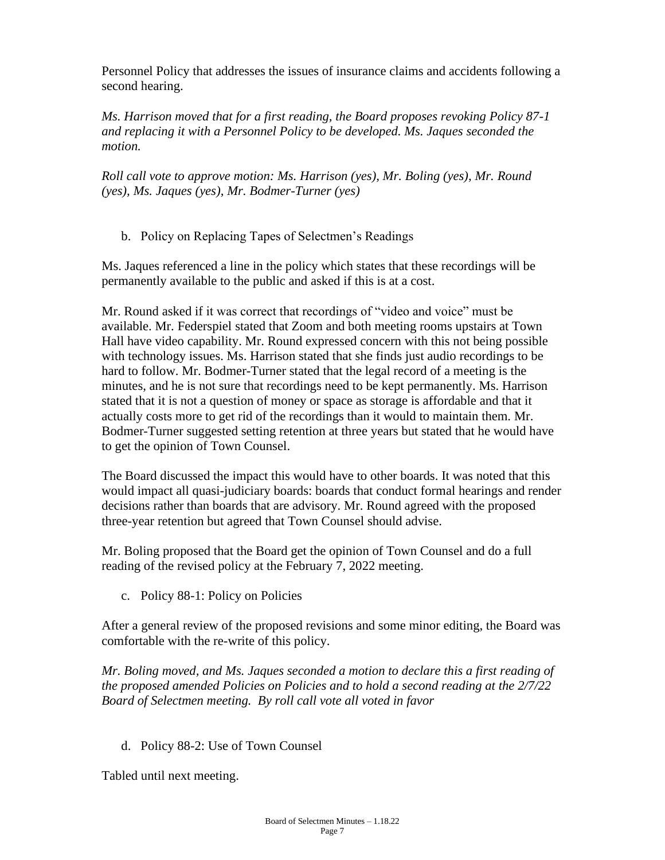Personnel Policy that addresses the issues of insurance claims and accidents following a second hearing.

*Ms. Harrison moved that for a first reading, the Board proposes revoking Policy 87-1 and replacing it with a Personnel Policy to be developed. Ms. Jaques seconded the motion.*

*Roll call vote to approve motion: Ms. Harrison (yes), Mr. Boling (yes), Mr. Round (yes), Ms. Jaques (yes), Mr. Bodmer-Turner (yes)*

b. Policy on Replacing Tapes of Selectmen's Readings

Ms. Jaques referenced a line in the policy which states that these recordings will be permanently available to the public and asked if this is at a cost.

Mr. Round asked if it was correct that recordings of "video and voice" must be available. Mr. Federspiel stated that Zoom and both meeting rooms upstairs at Town Hall have video capability. Mr. Round expressed concern with this not being possible with technology issues. Ms. Harrison stated that she finds just audio recordings to be hard to follow. Mr. Bodmer-Turner stated that the legal record of a meeting is the minutes, and he is not sure that recordings need to be kept permanently. Ms. Harrison stated that it is not a question of money or space as storage is affordable and that it actually costs more to get rid of the recordings than it would to maintain them. Mr. Bodmer-Turner suggested setting retention at three years but stated that he would have to get the opinion of Town Counsel.

The Board discussed the impact this would have to other boards. It was noted that this would impact all quasi-judiciary boards: boards that conduct formal hearings and render decisions rather than boards that are advisory. Mr. Round agreed with the proposed three-year retention but agreed that Town Counsel should advise.

Mr. Boling proposed that the Board get the opinion of Town Counsel and do a full reading of the revised policy at the February 7, 2022 meeting.

c. Policy 88-1: Policy on Policies

After a general review of the proposed revisions and some minor editing, the Board was comfortable with the re-write of this policy.

*Mr. Boling moved, and Ms. Jaques seconded a motion to declare this a first reading of the proposed amended Policies on Policies and to hold a second reading at the 2/7/22 Board of Selectmen meeting. By roll call vote all voted in favor*

d. Policy 88-2: Use of Town Counsel

Tabled until next meeting.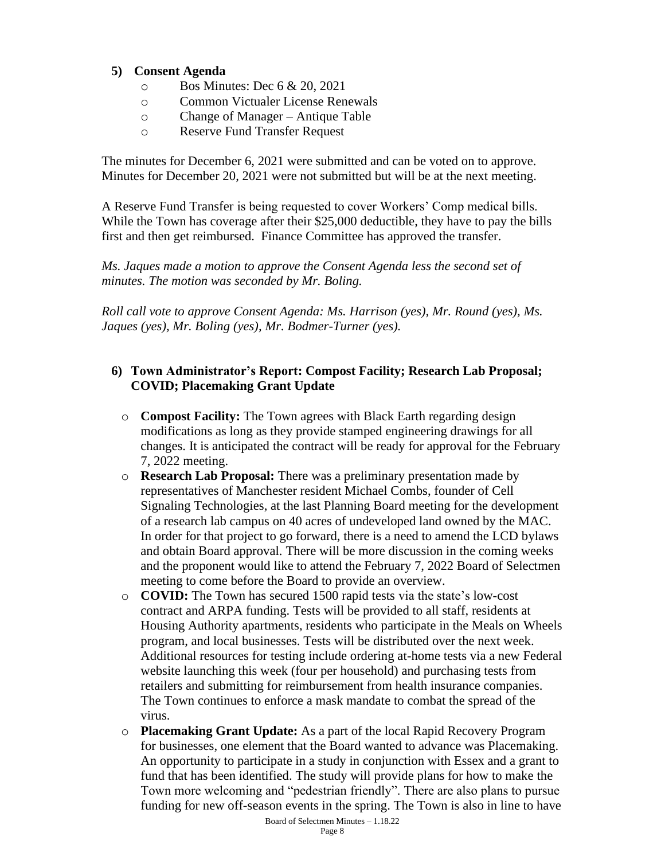### **5) Consent Agenda**

- o Bos Minutes: Dec 6 & 20, 2021
- o Common Victualer License Renewals
- o Change of Manager Antique Table
- o Reserve Fund Transfer Request

The minutes for December 6, 2021 were submitted and can be voted on to approve. Minutes for December 20, 2021 were not submitted but will be at the next meeting.

A Reserve Fund Transfer is being requested to cover Workers' Comp medical bills. While the Town has coverage after their \$25,000 deductible, they have to pay the bills first and then get reimbursed. Finance Committee has approved the transfer.

*Ms. Jaques made a motion to approve the Consent Agenda less the second set of minutes. The motion was seconded by Mr. Boling.*

*Roll call vote to approve Consent Agenda: Ms. Harrison (yes), Mr. Round (yes), Ms. Jaques (yes), Mr. Boling (yes), Mr. Bodmer-Turner (yes).*

# **6) Town Administrator's Report: Compost Facility; Research Lab Proposal; COVID; Placemaking Grant Update**

- o **Compost Facility:** The Town agrees with Black Earth regarding design modifications as long as they provide stamped engineering drawings for all changes. It is anticipated the contract will be ready for approval for the February 7, 2022 meeting.
- o **Research Lab Proposal:** There was a preliminary presentation made by representatives of Manchester resident Michael Combs, founder of Cell Signaling Technologies, at the last Planning Board meeting for the development of a research lab campus on 40 acres of undeveloped land owned by the MAC. In order for that project to go forward, there is a need to amend the LCD bylaws and obtain Board approval. There will be more discussion in the coming weeks and the proponent would like to attend the February 7, 2022 Board of Selectmen meeting to come before the Board to provide an overview.
- o **COVID:** The Town has secured 1500 rapid tests via the state's low-cost contract and ARPA funding. Tests will be provided to all staff, residents at Housing Authority apartments, residents who participate in the Meals on Wheels program, and local businesses. Tests will be distributed over the next week. Additional resources for testing include ordering at-home tests via a new Federal website launching this week (four per household) and purchasing tests from retailers and submitting for reimbursement from health insurance companies. The Town continues to enforce a mask mandate to combat the spread of the virus.
- Board of Selectmen Minutes 1.18.22 o **Placemaking Grant Update:** As a part of the local Rapid Recovery Program for businesses, one element that the Board wanted to advance was Placemaking. An opportunity to participate in a study in conjunction with Essex and a grant to fund that has been identified. The study will provide plans for how to make the Town more welcoming and "pedestrian friendly". There are also plans to pursue funding for new off-season events in the spring. The Town is also in line to have